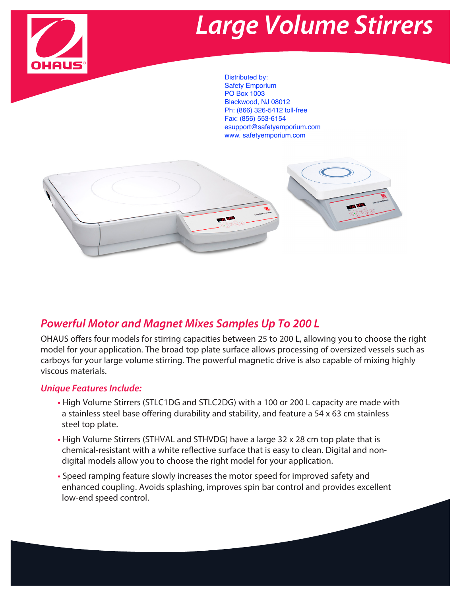

## **Large Volume Stirrers**

Distributed by: Safety Emporium PO Box 1003 Blackwood, NJ 08012 Ph: (866) 326-5412 toll-free Fax: (856) 553-6154 esupport@safetyemporium.com www. safetyemporium.com



## **Powerful Motor and Magnet Mixes Samples Up To 200 L**

OHAUS offers four models for stirring capacities between 25 to 200 L, allowing you to choose the right model for your application. The broad top plate surface allows processing of oversized vessels such as carboys for your large volume stirring. The powerful magnetic drive is also capable of mixing highly viscous materials.

#### **Unique Features Include:**

- **•** High Volume Stirrers (STLC1DG and STLC2DG) with a 100 or 200 L capacity are made with a stainless steel base offering durability and stability, and feature a 54 x 63 cm stainless steel top plate.
- **•** High Volume Stirrers (STHVAL and STHVDG) have a large 32 x 28 cm top plate that is chemical-resistant with a white reflective surface that is easy to clean. Digital and nondigital models allow you to choose the right model for your application.
- **•** Speed ramping feature slowly increases the motor speed for improved safety and enhanced coupling. Avoids splashing, improves spin bar control and provides excellent low-end speed control.